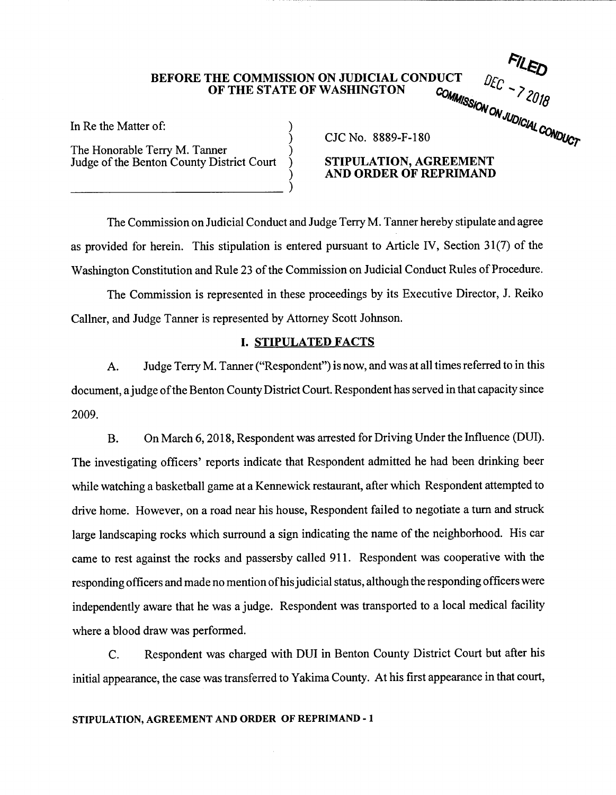## **BEFORE THE COMMISSION ON JUDICIAL CONDUCT OF THE STATE OF WASHINGTON**

)

)

In Re the Matter of:

The Honorable Terry M. Tanner Judge of the Benton County District Court

\_\_\_\_\_\_\_\_\_\_\_\_\_\_\_\_\_\_\_\_\_\_\_\_\_\_\_\_\_\_\_\_\_\_\_\_\_\_ )

CJCNo. 8889-F-180

# **STIPULATION, AGREEMENT AND ORDER OF REPRIMAND**

"<sup>NSSI</sup>ON

*°^J0l*

*?^0l8*

*C0N°iJcr*

*(OlCiAL*

The Commission on Judicial Conduct and Judge Terry M. Tanner hereby stipulate and agree as provided for herein. This stipulation is entered pursuant to Article IV, Section 31(7) of the Washington Constitution and Rule 23 of the Commission on Judicial Conduct Rules of Procedure.

The Commission is represented in these proceedings by its Executive Director, J. Reiko Callner, and Judge Tanner is represented by Attorney Scott Johnson.

# **I. STIPULATED FACTS**

A. Judge Terry M. Tanner ("Respondent") is now, and was at all timesreferred to in this document, a judge of the Benton County District Court. Respondent has served in that capacity since 2009.

B. On March 6, 2018, Respondent was arrested for Driving Under the Influence (DUI). The investigating officers' reports indicate that Respondent admitted he had been drinking beer while watching a basketball game at a Kennewick restaurant, after which Respondent attempted to drive home. However, on a road near his house. Respondent failed to negotiate a turn and struck large landscaping rocks which surround a sign indicating the name of the neighborhood. His car came to rest against the rocks and passersby called 911. Respondent was cooperative with the responding officers and made no mention of his judicial status, although the responding officers were independently aware that he was a judge. Respondent was transported to a local medical facility where a blood draw was performed.

C. Respondent was charged with DUI in Benton County District Court but after his initial appearance, the case was transferred to Yakima County. At his first appearance in that court.

### STIPULATION, AGREEMENT AND ORDER OF REPRIMAND - I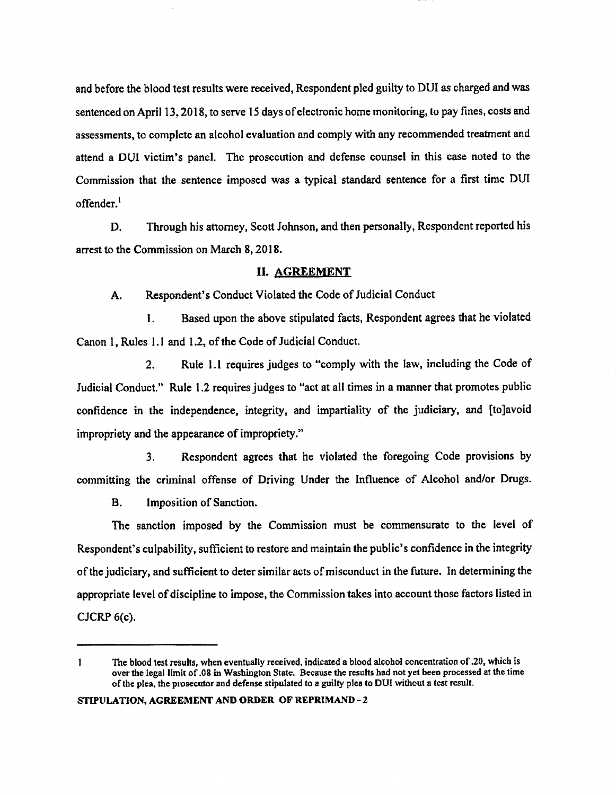and before the blood test results were received, Respondent pled guilty to DUI as charged and was sentenced on April 13,2018, to serve 15 days ofelectronic home monitoring, to pay fines, costs and assessments, to complete an alcohol evaluation and comply with any recommended treatment and attend a DUI victim's panel. The prosecution and defense counsel in this case noted to the Commission that the sentence imposed was a typical standard sentence for a first time DUI offender.<sup>1</sup>

D. Through his attorney, Scott Johnson, and then personally. Respondent reported his arrest to the Commission on March 8,2018.

## II. AGREEMENT

A. Respondent's Conduct Violated the Code of Judicial Conduct

1. Based upon the above stipulated facts, Respondent agrees that he violated Canon 1, Rules 1.1 and 1.2, of the Code of Judicial Conduct.

2. Rule 1.1 requires judges to "comply with the law, including the Code of Judicial Conduct." Rule 1.2 requires judges to "act at all times in a manner that promotes public confidence in the independence, integrity, and impartiality of the judiciary, and [tojavoid impropriety and the appearance of impropriety."

3. Respondent agrees that he violated the foregoing Code provisions by committing the criminal offense of Driving Under the Influence of Alcohol and/or Drugs.

B. Imposition of Sanction.

The sanction imposed by the Commission must be commensurate to the level of Respondent's culpability, sufficient to restore and maintain the public's confidence in the integrity of the judiciary, and sufficient to deter similar acts of misconduct in the future. In determining the appropriate level of discipline to impose, the Commission takes into account those factors listed in CJCRP 6(c).

**<sup>1</sup> The blood test results, when eventually received, indicated a blood alcohol concentrationof.20, which is** over the legal limit of .08 in Washington State. Because the results had not yet been processed at the time **ofthe plea, the prosecutor and defense stipulated to <sup>a</sup> guilty plea to DUI without a test result.**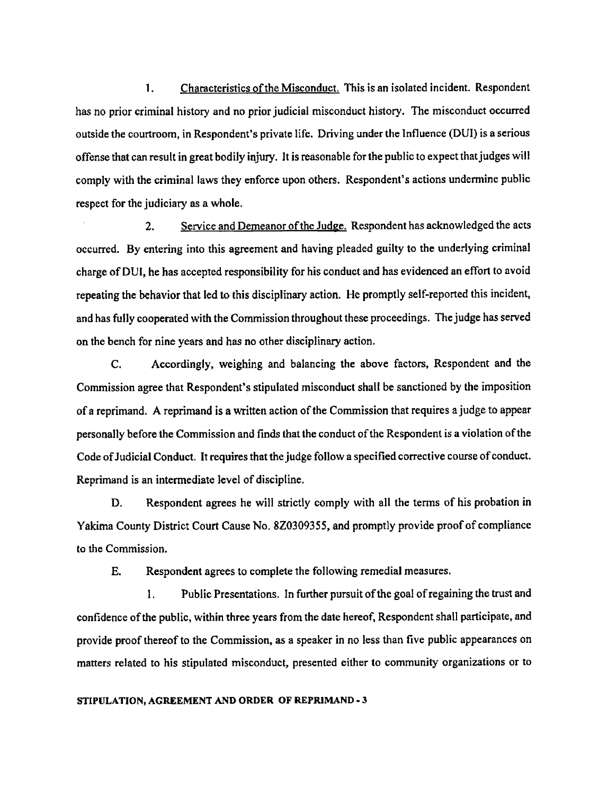1. Characteristics ofthe Misconduct. This is an isolated incident. Respondent has no prior criminal history and no prior judicial misconduct history. The misconduct occurred outside the courtroom, in Respondent's private life. Driving underthe Influence (DUI) is a serious offense that can result in great bodily injury. It is reasonable for the public to expect that judges will comply with the criminal laws they enforce upon others. Respondent's actions undermine public respect for the judiciary as a whole.

2. Service and Demeanor of the Judge. Respondent has acknowledged the acts occurred. By entering into this agreement and having pleaded guilty to the underlying criminal charge ofDUI, he has accepted responsibility for his conduct and has evidenced an effort to avoid repeating the behavior that led to this disciplinary action. He promptly self-reported this incident, and has fully cooperated with the Commission throughout these proceedings. The judge has served on the bench for nine years and has no other disciplinary action.

C. Accordingly, weighing and balancing the above factors. Respondent and the Commission agree that Respondent's stipulated misconduct shall be sanctioned by the imposition of a reprimand. A reprimand is a written action of the Commission that requires a judge to appear personally before the Commission and finds that the conduct of the Respondent is a violation of the Code of Judicial Conduct. It requires that the judge follow a specified corrective course of conduct. Reprimand is an intermediate level of discipline.

D. Respondent agrees he will strictly comply with all the terms of his probation in Yakima County District Court Cause No. 8Z0309355, and promptly provide proofof compliance to the Commission.

E. Respondent agrees to complete the following remedial measures.

1. Public Presentations. In further pursuit of the goal of regaining the trust and confidence ofthe public, within three years from the date hereof, Respondent shall participate, and provide proofthereofto the Commission, as a speaker in no less than five public appearances on matters related to his stipulated misconduct, presented either to community organizations or to

#### **STIPULATION, AGREEMENT AND ORDER OF REPRIMAND - 3**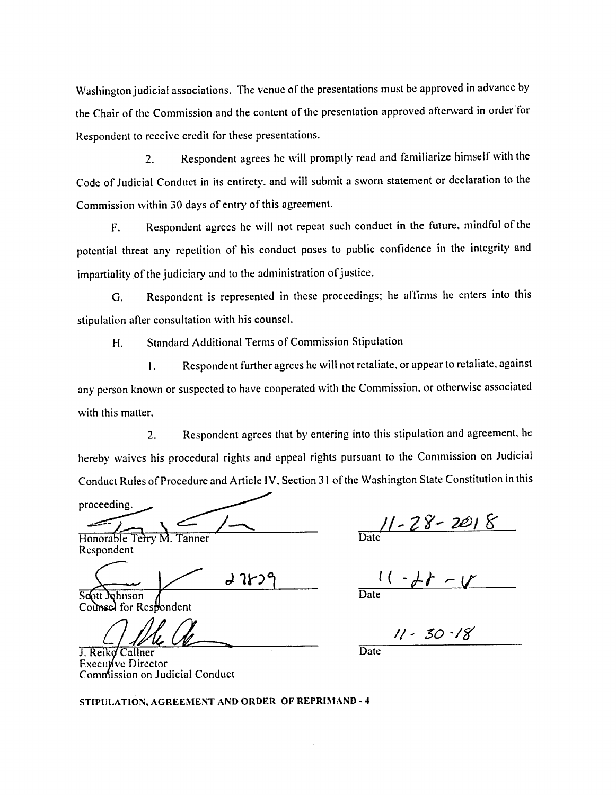Washington judicial associations. The venue of the presentations must be approved in advance by the Chair of the Commission and the content of the presentation approved afterward in order for Respondent to receive credit for these presentations.

2. Respondent agrees he will promptly read and familiarize himself with the Code of Judicial Conduct in its entirety, and will submit a sworn statement or declaration to the Commission within 30 days of entry of this agreement.

F. Respondent agrees he will not repeat such conduct in the future, mindful of the potential threat any repetition of his conduct poses to public confidence in the integrity and impartiality of the judiciary and to the administration of justice.

G. Respondent is represented in these proceedings; he affirms he enters into this stipulation after consultation with his counsel.

H. Standard Additional Terms of Commission Stipulation

1. Respondent further agrees he will not retaliate, or appear to retaliate, against any person known or suspected to have cooperated with the Commission, or otherwise associated with this matter.

2. Respondent agrees that by entering into this stipulation and agreement, he hereby waives his procedural rights and appeal rights pursuant to the Commission on Judicial Conduct Rules of Procedure and Article IV, Section 31 of the Washington State Constitution in this

proceeding.

Honorable Terry M. Tanner Respondent Tanner Date

すりんつ

Soott Johnson Counsel for Respondent

J. Reiko Callner Executive Director Commission on Judicial Conduct

*7^!* **S'**

 $11 - 28 - 11$ Date

*]AL 6L***— //'** *so '/s'* **Date** 

STIPULATION, AGREEMENT AND ORDER OF REPRIMAND - 4